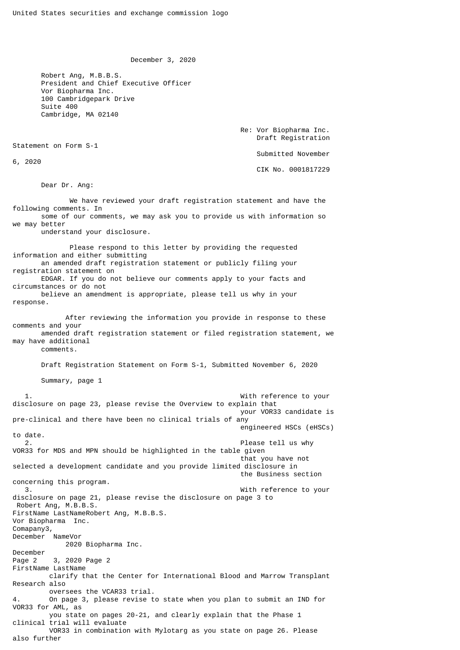December 3, 2020

 Robert Ang, M.B.B.S. President and Chief Executive Officer Vor Biopharma Inc. 100 Cambridgepark Drive Suite 400 Cambridge, MA 02140

> Re: Vor Biopharma Inc. Draft Registration

Statement on Form S-1

6, 2020

Submitted November

CIK No. 0001817229

Dear Dr. Ang:

 We have reviewed your draft registration statement and have the following comments. In some of our comments, we may ask you to provide us with information so we may better understand your disclosure. Please respond to this letter by providing the requested information and either submitting an amended draft registration statement or publicly filing your registration statement on EDGAR. If you do not believe our comments apply to your facts and circumstances or do not believe an amendment is appropriate, please tell us why in your response. After reviewing the information you provide in response to these comments and your amended draft registration statement or filed registration statement, we may have additional comments. Draft Registration Statement on Form S-1, Submitted November 6, 2020 Summary, page 1 1. With reference to your disclosure on page 23, please revise the Overview to explain that your VOR33 candidate is pre-clinical and there have been no clinical trials of any engineered HSCs (eHSCs) to date. 2. Please tell us why VOR33 for MDS and MPN should be highlighted in the table given that you have not selected a development candidate and you provide limited disclosure in the Business section concerning this program. 3. With reference to your disclosure on page 21, please revise the disclosure on page 3 to Robert Ang, M.B.B.S. FirstName LastNameRobert Ang, M.B.B.S. Vor Biopharma Inc. Comapany3, December NameVor 2020 Biopharma Inc. December Page 2 3, 2020 Page 2 FirstName LastName clarify that the Center for International Blood and Marrow Transplant Research also oversees the VCAR33 trial. 4. On page 3, please revise to state when you plan to submit an IND for VOR33 for AML, as you state on pages 20-21, and clearly explain that the Phase 1 clinical trial will evaluate VOR33 in combination with Mylotarg as you state on page 26. Please also further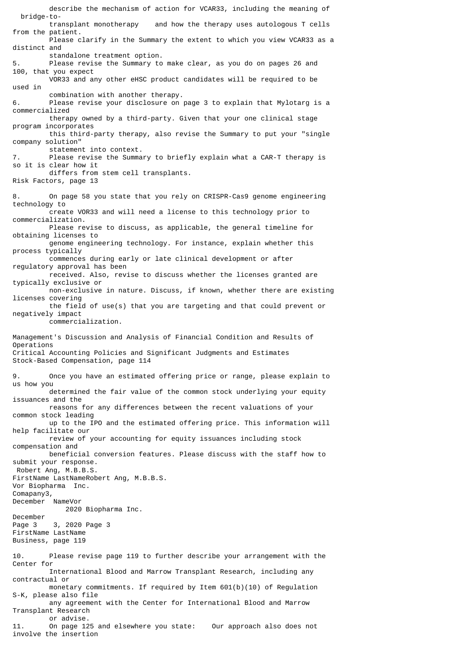describe the mechanism of action for VCAR33, including the meaning of bridge-to and how the therapy uses autologous T cells from the patient. Please clarify in the Summary the extent to which you view VCAR33 as a distinct and standalone treatment option. 5. Please revise the Summary to make clear, as you do on pages 26 and 100, that you expect VOR33 and any other eHSC product candidates will be required to be used in combination with another therapy. 6. Please revise your disclosure on page 3 to explain that Mylotarg is a commercialized therapy owned by a third-party. Given that your one clinical stage program incorporates this third-party therapy, also revise the Summary to put your "single company solution" statement into context. 7. Please revise the Summary to briefly explain what a CAR-T therapy is so it is clear how it differs from stem cell transplants. Risk Factors, page 13 8. On page 58 you state that you rely on CRISPR-Cas9 genome engineering technology to create VOR33 and will need a license to this technology prior to commercialization. Please revise to discuss, as applicable, the general timeline for obtaining licenses to genome engineering technology. For instance, explain whether this process typically commences during early or late clinical development or after regulatory approval has been received. Also, revise to discuss whether the licenses granted are typically exclusive or non-exclusive in nature. Discuss, if known, whether there are existing licenses covering the field of use(s) that you are targeting and that could prevent or negatively impact commercialization. Management's Discussion and Analysis of Financial Condition and Results of Operations Critical Accounting Policies and Significant Judgments and Estimates Stock-Based Compensation, page 114 9. Once you have an estimated offering price or range, please explain to us how you determined the fair value of the common stock underlying your equity issuances and the reasons for any differences between the recent valuations of your common stock leading up to the IPO and the estimated offering price. This information will help facilitate our review of your accounting for equity issuances including stock compensation and beneficial conversion features. Please discuss with the staff how to submit your response. Robert Ang, M.B.B.S. FirstName LastNameRobert Ang, M.B.B.S. Vor Biopharma Inc. Comapany3, December NameVor 2020 Biopharma Inc. December Page 3 3, 2020 Page 3 FirstName LastName Business, page 119 10. Please revise page 119 to further describe your arrangement with the Center for International Blood and Marrow Transplant Research, including any contractual or monetary commitments. If required by Item 601(b)(10) of Regulation S-K, please also file any agreement with the Center for International Blood and Marrow Transplant Research or advise. 11. On page 125 and elsewhere you state: Our approach also does not involve the insertion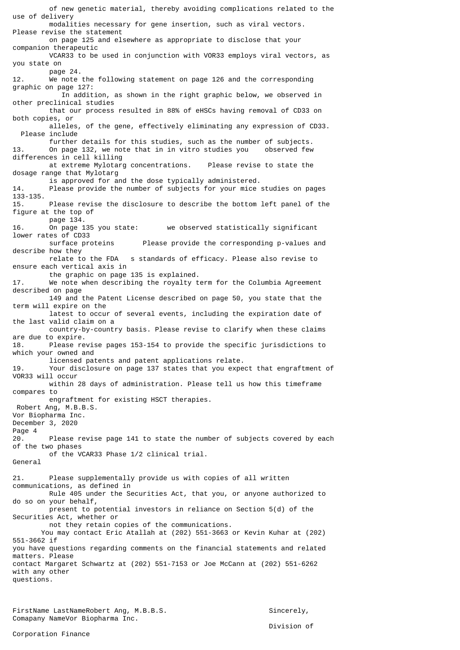of new genetic material, thereby avoiding complications related to the use of delivery modalities necessary for gene insertion, such as viral vectors. Please revise the statement on page 125 and elsewhere as appropriate to disclose that your companion therapeutic VCAR33 to be used in conjunction with VOR33 employs viral vectors, as you state on page 24. 12. We note the following statement on page 126 and the corresponding graphic on page 127: In addition, as shown in the right graphic below, we observed in other preclinical studies that our process resulted in 88% of eHSCs having removal of CD33 on both copies, or alleles, of the gene, effectively eliminating any expression of CD33. Please include further details for this studies, such as the number of subjects.<br>13. On page 132, we note that in in vitro studies you observed few On page 132, we note that in in vitro studies you differences in cell killing at extreme Mylotarg concentrations. Please revise to state the dosage range that Mylotarg is approved for and the dose typically administered.<br>14. Please provide the number of subjects for your mice Please provide the number of subjects for your mice studies on pages 133-135. 15. Please revise the disclosure to describe the bottom left panel of the figure at the top of page 134.<br>16. On page 135 you state: we observed statistically significant lower rates of CD33 surface proteins Please provide the corresponding p-values and describe how they relate to the FDA s standards of efficacy. Please also revise to ensure each vertical axis in the graphic on page 135 is explained. 17. We note when describing the royalty term for the Columbia Agreement described on page 149 and the Patent License described on page 50, you state that the term will expire on the latest to occur of several events, including the expiration date of the last valid claim on a country-by-country basis. Please revise to clarify when these claims are due to expire. 18. Please revise pages 153-154 to provide the specific jurisdictions to which your owned and licensed patents and patent applications relate. 19. Your disclosure on page 137 states that you expect that engraftment of VOR33 will occur within 28 days of administration. Please tell us how this timeframe compares to engraftment for existing HSCT therapies. Robert Ang, M.B.B.S. Vor Biopharma Inc. December 3, 2020 Page 4 20. Please revise page 141 to state the number of subjects covered by each of the two phases of the VCAR33 Phase 1/2 clinical trial. General 21. Please supplementally provide us with copies of all written communications, as defined in Rule 405 under the Securities Act, that you, or anyone authorized to do so on your behalf, present to potential investors in reliance on Section 5(d) of the Securities Act, whether or not they retain copies of the communications. You may contact Eric Atallah at (202) 551-3663 or Kevin Kuhar at (202) 551-3662 if you have questions regarding comments on the financial statements and related matters. Please contact Margaret Schwartz at (202) 551-7153 or Joe McCann at (202) 551-6262 with any other questions.

FirstName LastNameRobert Ang, M.B.B.S. Sincerely, Comapany NameVor Biopharma Inc.